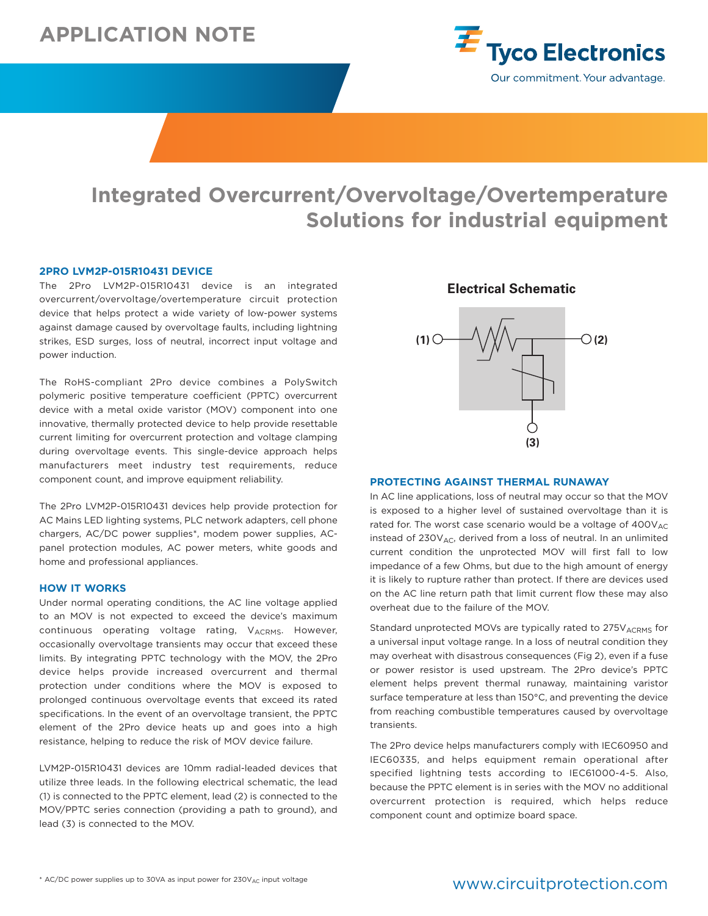# **APPLICATION NOTE**



# **Integrated Overcurrent/Overvoltage/Overtemperature**<br> **Solutions for industrial equipment**<br>
TRAP-015R10431 DEVICE<br>
LYM2P-015R10431 device is an integrated<br>
Integrated Electrical Schematic<br>
(*to*vervoltage/overtemperature c **Solutions for industrial equipment**

#### **2PRO LVM2P-015R10431 DEVICE**

The 2Pro LVM2P-015R10431 device is an integrated overcurrent/overvoltage/overtemperature circuit protection device that helps protect a wide variety of low-power systems against damage caused by overvoltage faults, including lightning strikes, ESD surges, loss of neutral, incorrect input voltage and power induction.

The RoHS-compliant 2Pro device combines a PolySwitch polymeric positive temperature coefficient (PPTC) overcurrent device with a metal oxide varistor (MOV) component into one innovative, thermally protected device to help provide resettable current limiting for overcurrent protection and voltage clamping during overvoltage events. This single-device approach helps manufacturers meet industry test requirements, reduce component count, and improve equipment reliability.

The 2Pro LVM2P-015R10431 devices help provide protection for AC Mains LED lighting systems, PLC network adapters, cell phone chargers, AC/DC power supplies\*, modem power supplies, ACpanel protection modules, AC power meters, white goods and home and professional appliances.

#### **HOW IT WORKS**

Under normal operating conditions, the AC line voltage applied to an MOV is not expected to exceed the device's maximum continuous operating voltage rating, VACRMS. However, occasionally overvoltage transients may occur that exceed these limits. By integrating PPTC technology with the MOV, the 2Pro device helps provide increased overcurrent and thermal protection under conditions where the MOV is exposed to prolonged continuous overvoltage events that exceed its rated specifications. In the event of an overvoltage transient, the PPTC element of the 2Pro device heats up and goes into a high resistance, helping to reduce the risk of MOV device failure.

LVM2P-015R10431 devices are 10mm radial-leaded devices that utilize three leads. In the following electrical schematic, the lead (1) is connected to the PPTC element, lead (2) is connected to the MOV/PPTC series connection (providing a path to ground), and lead (3) is connected to the MOV.

# **Electrical Schematic**



#### **PROTECTING AGAINST THERMAL RUNAWAY**

In AC line applications, loss of neutral may occur so that the MOV is exposed to a higher level of sustained overvoltage than it is rated for. The worst case scenario would be a voltage of  $400V_{AC}$ instead of  $230V_{AC}$ , derived from a loss of neutral. In an unlimited current condition the unprotected MOV will first fall to low impedance of a few Ohms, but due to the high amount of energy it is likely to rupture rather than protect. If there are devices used on the AC line return path that limit current flow these may also overheat due to the failure of the MOV.

Standard unprotected MOVs are typically rated to 275V<sub>ACRMS</sub> for a universal input voltage range. In a loss of neutral condition they may overheat with disastrous consequences (Fig 2), even if a fuse or power resistor is used upstream. The 2Pro device's PPTC element helps prevent thermal runaway, maintaining varistor surface temperature at less than 150°C, and preventing the device from reaching combustible temperatures caused by overvoltage transients.

The 2Pro device helps manufacturers comply with IEC60950 and IEC60335, and helps equipment remain operational after specified lightning tests according to IEC61000-4-5. Also, because the PPTC element is in series with the MOV no additional overcurrent protection is required, which helps reduce component count and optimize board space.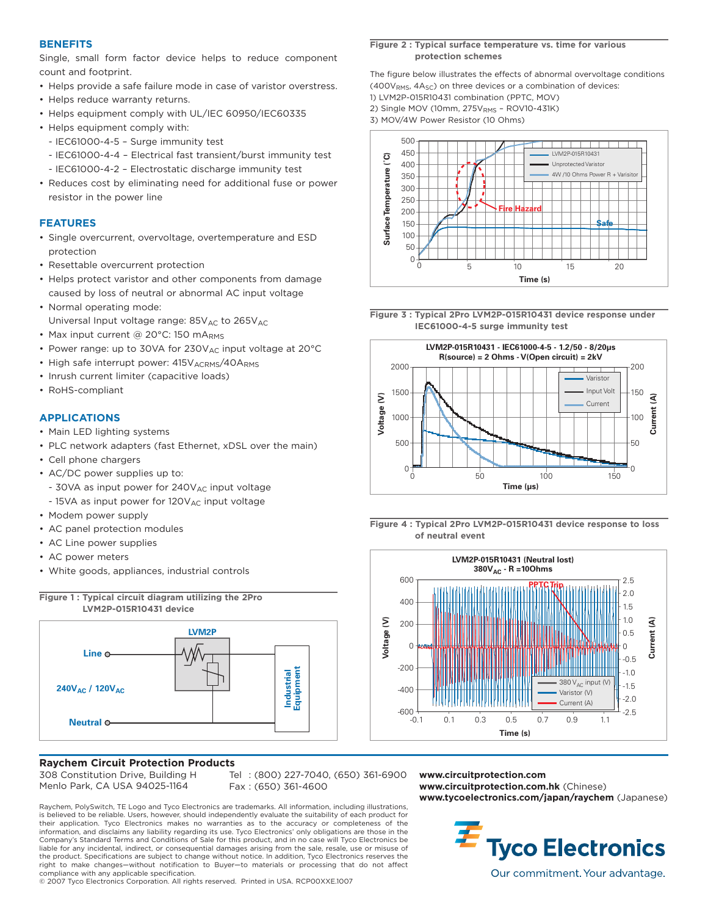#### **BENEFITS**

Single, small form factor device helps to reduce component count and footprint.

- Helps provide a safe failure mode in case of varistor overstress.
- Helps reduce warranty returns.
- Helps equipment comply with UL/IEC 60950/IEC60335
- Helps equipment comply with:
- IEC61000-4-5 Surge immunity test
- IEC61000-4-4 Electrical fast transient/burst immunity test
- IEC61000-4-2 Electrostatic discharge immunity test
- Reduces cost by eliminating need for additional fuse or power resistor in the power line

# **FEATURES**

- Single overcurrent, overvoltage, overtemperature and ESD protection
- Resettable overcurrent protection
- Helps protect varistor and other components from damage caused by loss of neutral or abnormal AC input voltage
- Normal operating mode: Universal Input voltage range:  $85V_{AC}$  to  $265V_{AC}$
- Max input current @ 20 $^{\circ}$ C: 150 mA<sub>RMS</sub>
- Power range: up to 30VA for  $230V_{AC}$  input voltage at  $20^{\circ}$ C
- High safe interrupt power: 415V ACRMS/40ARMS
- Inrush current limiter (capacitive loads)
- RoHS-compliant

#### **APPLICATIONS**

- Main LED lighting systems
- PLC network adapters (fast Ethernet, xDSL over the main)
- Cell phone chargers
- AC/DC power supplies up to:
- $-$  30VA as input power for 240V<sub>AC</sub> input voltage
- $-$  15VA as input power for 120V<sub>AC</sub> input voltage
- Modem power supply
- AC panel protection modules
- AC Line power supplies
- AC power meters
- White goods, appliances, industrial controls



#### **Raychem Circuit Protection Products**

308 Constitution Drive, Building H Menlo Park, CA USA 94025-1164

Tel : (800) 227-7040, (650) 361-6900 Fax : (650) 361-4600

Raychem, PolySwitch, TE Logo and Tyco Electronics are trademarks. All information, including illustrations, is believed to be reliable. Users, however, should independently evaluate the suitability of each product for their application. Tyco Electronics makes no warranties as to the accuracy or completeness of the information, and disclaims any liability regarding its use. Tyco Electronics' only obligations are those in the Company's Standard Terms and Conditions of Sale for this product, and in no case will Tyco Electronics be liable for any incidental, indirect, or consequential damages arising from the sale, resale, use or misuse of the product. Specifications are subject to change without notice. In addition, Tyco Electronics reserves the right to make changes—without notification to Buyer—to materials or processing that do not affect compliance with any applicable specification.

© 2007 Tyco Electronics Corporation. All rights reserved. Printed in USA. RCP00XXE.1007

#### **Figure 2 : Typical surface temperature vs. time for various protection schemes**

The figure below illustrates the effects of abnormal overvoltage conditions  $(400V<sub>RMS</sub>, 4A<sub>SC</sub>)$  on three devices or a combination of devices:

1) LVM2P-015R10431 combination (PPTC, MOV)

2) Single MOV (10mm, 275VRMS - ROV10-431K)

3) MOV/4W Power Resistor (10 Ohms)



**Figure 3 : Typical 2Pro LVM2P-015R10431 device response under IEC61000-4-5 surge immunity test**



**Figure 4 : Typical 2Pro LVM2P-015R10431 device response to loss of neutral event**



**www.circuitprotection.com www.circuitprotection.com.hk** (Chinese) **www.tycoelectronics.com/japan/raychem** (Japanese)